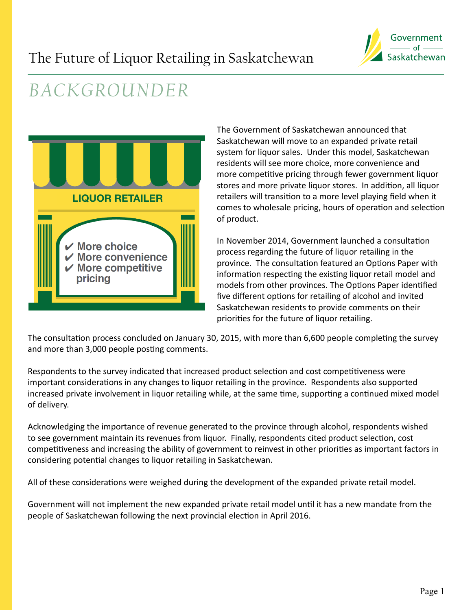

# *BACKGROUNDER*



The Government of Saskatchewan announced that Saskatchewan will move to an expanded private retail system for liquor sales. Under this model, Saskatchewan residents will see more choice, more convenience and more competitive pricing through fewer government liquor stores and more private liquor stores. In addition, all liquor retailers will transition to a more level playing field when it comes to wholesale pricing, hours of operation and selection of product.

In November 2014, Government launched a consultation process regarding the future of liquor retailing in the province. The consultation featured an Options Paper with information respecting the existing liquor retail model and models from other provinces. The Options Paper identified five different options for retailing of alcohol and invited Saskatchewan residents to provide comments on their priorities for the future of liquor retailing.

The consultation process concluded on January 30, 2015, with more than 6,600 people completing the survey and more than 3,000 people posting comments.

Respondents to the survey indicated that increased product selection and cost competitiveness were important considerations in any changes to liquor retailing in the province. Respondents also supported increased private involvement in liquor retailing while, at the same time, supporting a continued mixed model of delivery.

Acknowledging the importance of revenue generated to the province through alcohol, respondents wished to see government maintain its revenues from liquor. Finally, respondents cited product selection, cost competitiveness and increasing the ability of government to reinvest in other priorities as important factors in considering potential changes to liquor retailing in Saskatchewan.

All of these considerations were weighed during the development of the expanded private retail model.

Government will not implement the new expanded private retail model until it has a new mandate from the people of Saskatchewan following the next provincial election in April 2016.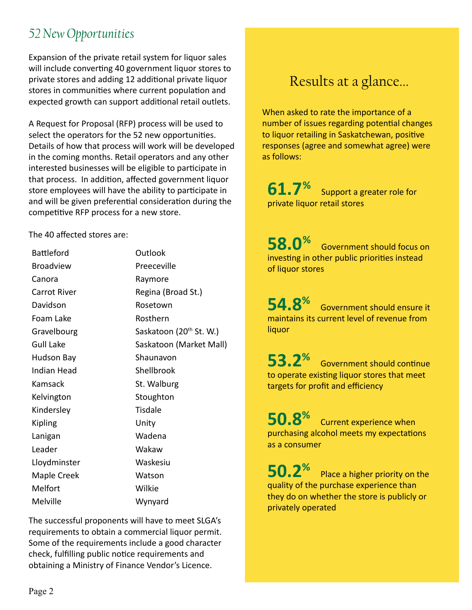### *52 New Opportunities*

Expansion of the private retail system for liquor sales will include converting 40 government liquor stores to private stores and adding 12 additional private liquor stores in communities where current population and expected growth can support additional retail outlets.

A Request for Proposal (RFP) process will be used to select the operators for the 52 new opportunities. Details of how that process will work will be developed in the coming months. Retail operators and any other interested businesses will be eligible to participate in that process. In addition, affected government liquor store employees will have the ability to participate in and will be given preferential consideration during the competitive RFP process for a new store.

The 40 affected stores are:

| <b>Battleford</b>   | Outlook                             |
|---------------------|-------------------------------------|
| <b>Broadview</b>    | Preeceville                         |
| Canora              | Raymore                             |
| <b>Carrot River</b> | Regina (Broad St.)                  |
| Davidson            | Rosetown                            |
| Foam Lake           | Rosthern                            |
| Gravelbourg         | Saskatoon (20 <sup>th</sup> St. W.) |
| <b>Gull Lake</b>    | Saskatoon (Market Mall)             |
| <b>Hudson Bay</b>   | Shaunavon                           |
| Indian Head         | Shellbrook                          |
|                     |                                     |
| Kamsack             | St. Walburg                         |
| Kelvington          | Stoughton                           |
| Kindersley          | Tisdale                             |
| Kipling             | Unity                               |
| Lanigan             | Wadena                              |
| Leader              | Wakaw                               |
| Lloydminster        | Waskesiu                            |
| Maple Creek         | Watson                              |
| Melfort             | Wilkie                              |

The successful proponents will have to meet SLGA's requirements to obtain a commercial liquor permit. Some of the requirements include a good character check, fulfilling public notice requirements and obtaining a Ministry of Finance Vendor's Licence.

### Results at a glance...

When asked to rate the importance of a number of issues regarding potential changes to liquor retailing in Saskatchewan, positive responses (agree and somewhat agree) were as follows:

**61.7%** Support a greater role for private liquor retail stores

**58.0**% Government should focus on investing in other public priorities instead of liquor stores

**54.8%** Government should ensure it maintains its current level of revenue from liquor

**53.2%** Government should continue to operate existing liquor stores that meet targets for profit and efficiency

**50.8%** Current experience when purchasing alcohol meets my expectations as a consumer

**50.2<sup>%</sup>** Place a higher priority on the quality of the purchase experience than they do on whether the store is publicly or privately operated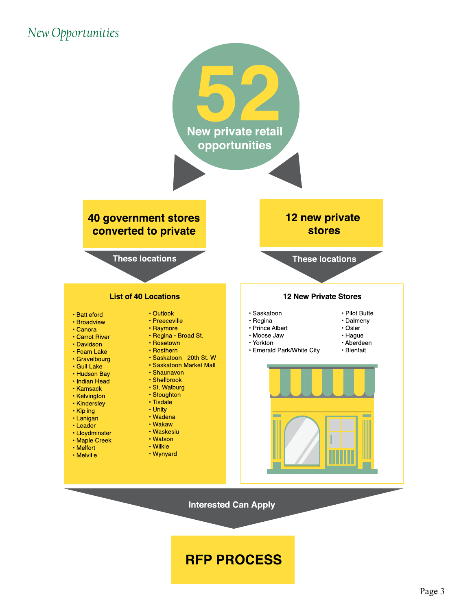### *New Opportunities*



**RFP PROCESS**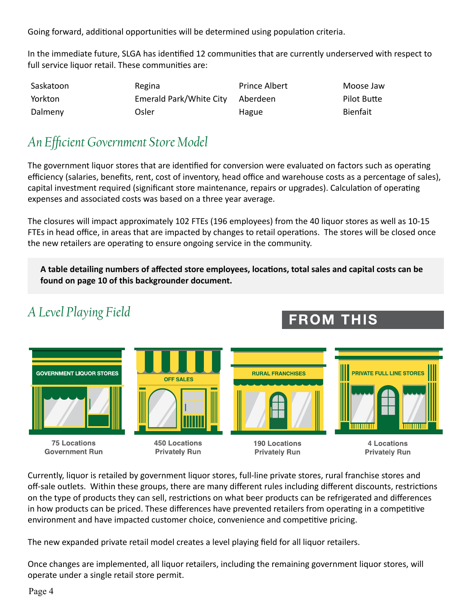Going forward, additional opportunities will be determined using population criteria.

In the immediate future, SLGA has identified 12 communities that are currently underserved with respect to full service liquor retail. These communities are:

| Saskatoon | Regina                  | Prince Albert | Moose Jaw       |
|-----------|-------------------------|---------------|-----------------|
| Yorkton   | Emerald Park/White City | Aberdeen      | Pilot Butte     |
| Dalmeny   | Osler                   | Hague         | <b>Bienfait</b> |

#### *An Efficient Government Store Model*

The government liquor stores that are identified for conversion were evaluated on factors such as operating efficiency (salaries, benefits, rent, cost of inventory, head office and warehouse costs as a percentage of sales), capital investment required (significant store maintenance, repairs or upgrades). Calculation of operating expenses and associated costs was based on a three year average.

The closures will impact approximately 102 FTEs (196 employees) from the 40 liquor stores as well as 10-15 FTEs in head office, in areas that are impacted by changes to retail operations. The stores will be closed once the new retailers are operating to ensure ongoing service in the community.

**A table detailing numbers of affected store employees, locations, total sales and capital costs can be found on page 10 of this backgrounder document.** 

### *A Level Playing Field*

## **FROM THIS**



Currently, liquor is retailed by government liquor stores, full-line private stores, rural franchise stores and off-sale outlets. Within these groups, there are many different rules including different discounts, restrictions on the type of products they can sell, restrictions on what beer products can be refrigerated and differences in how products can be priced. These differences have prevented retailers from operating in a competitive environment and have impacted customer choice, convenience and competitive pricing.

The new expanded private retail model creates a level playing field for all liquor retailers.

Once changes are implemented, all liquor retailers, including the remaining government liquor stores, will operate under a single retail store permit.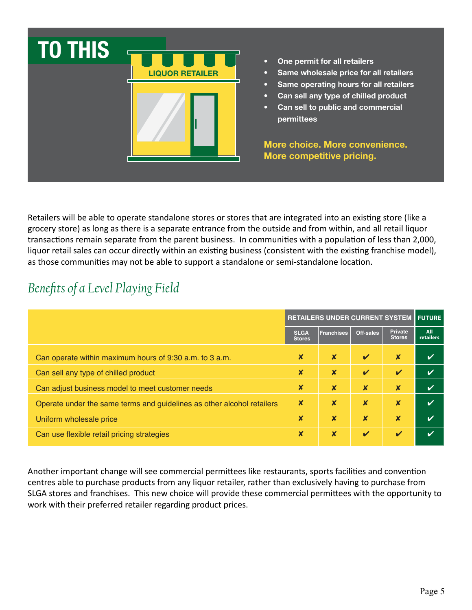

• One permit for all retailers

- Same wholesale price for all retailers
- Same operating hours for all retailers
- Can sell any type of chilled product
- Can sell to public and commercial permittees

More choice. More convenience. More competitive pricing.

Retailers will be able to operate standalone stores or stores that are integrated into an existing store (like a grocery store) as long as there is a separate entrance from the outside and from within, and all retail liquor transactions remain separate from the parent business. In communities with a population of less than 2,000, liquor retail sales can occur directly within an existing business (consistent with the existing franchise model), as those communities may not be able to support a standalone or semi-standalone location.

### *Benefits of a Level Playing Field*

|                                                                        | <b>RETAILERS UNDER CURRENT SYSTEM FUTURE</b> |                           |                            |                                 |                         |
|------------------------------------------------------------------------|----------------------------------------------|---------------------------|----------------------------|---------------------------------|-------------------------|
|                                                                        | <b>SLGA</b><br><b>Stores</b>                 | <b>Franchises</b>         | Off-sales                  | <b>Private</b><br><b>Stores</b> | All<br><b>retailers</b> |
| Can operate within maximum hours of 9:30 a.m. to 3 a.m.                | X                                            | $\boldsymbol{x}$          | $\boldsymbol{\mathcal{U}}$ | ×                               |                         |
| Can sell any type of chilled product                                   | X                                            | $\boldsymbol{\mathsf{x}}$ | $\mathbf{v}$               | $\mathbf v$                     |                         |
| Can adjust business model to meet customer needs                       | $\boldsymbol{\mathsf{x}}$                    | $\boldsymbol{x}$          | $\boldsymbol{\mathsf{x}}$  | $\boldsymbol{\mathsf{x}}$       |                         |
| Operate under the same terms and guidelines as other alcohol retailers | X                                            | $\boldsymbol{x}$          | $\boldsymbol{\mathsf{x}}$  | $\boldsymbol{\mathsf{x}}$       |                         |
| Uniform wholesale price                                                | X                                            | $\boldsymbol{x}$          | $\boldsymbol{\mathsf{x}}$  | $\boldsymbol{\mathsf{x}}$       |                         |
| Can use flexible retail pricing strategies                             | X                                            | $\boldsymbol{x}$          | $\overline{\mathbf{v}}$    | $\boldsymbol{\mathcal{U}}$      |                         |

Another important change will see commercial permittees like restaurants, sports facilities and convention centres able to purchase products from any liquor retailer, rather than exclusively having to purchase from SLGA stores and franchises. This new choice will provide these commercial permittees with the opportunity to work with their preferred retailer regarding product prices.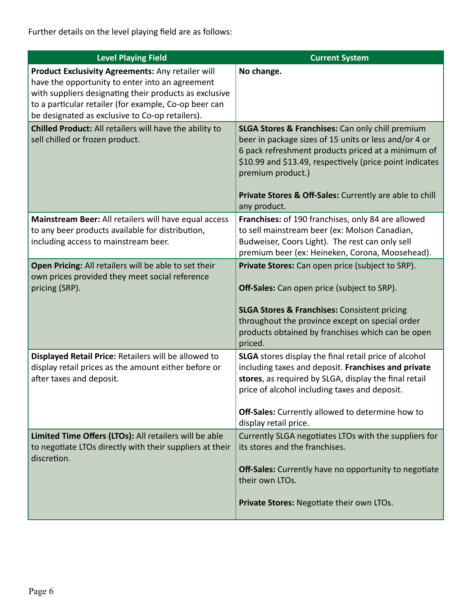Further details on the level playing field are as follows:

| <b>Level Playing Field</b>                                                                                                                                                                                                                                                 | <b>Current System</b>                                                                                                                                                                                                                                                                                                                  |
|----------------------------------------------------------------------------------------------------------------------------------------------------------------------------------------------------------------------------------------------------------------------------|----------------------------------------------------------------------------------------------------------------------------------------------------------------------------------------------------------------------------------------------------------------------------------------------------------------------------------------|
| Product Exclusivity Agreements: Any retailer will<br>have the opportunity to enter into an agreement<br>with suppliers designating their products as exclusive<br>to a particular retailer (for example, Co-op beer can<br>be designated as exclusive to Co-op retailers). | No change.                                                                                                                                                                                                                                                                                                                             |
| Chilled Product: All retailers will have the ability to<br>sell chilled or frozen product.                                                                                                                                                                                 | <b>SLGA Stores &amp; Franchises:</b> Can only chill premium<br>beer in package sizes of 15 units or less and/or 4 or<br>6 pack refreshment products priced at a minimum of<br>\$10.99 and \$13.49, respectively (price point indicates<br>premium product.)<br>Private Stores & Off-Sales: Currently are able to chill<br>any product. |
| Mainstream Beer: All retailers will have equal access<br>to any beer products available for distribution,<br>including access to mainstream beer.                                                                                                                          | Franchises: of 190 franchises, only 84 are allowed<br>to sell mainstream beer (ex: Molson Canadian,<br>Budweiser, Coors Light). The rest can only sell<br>premium beer (ex: Heineken, Corona, Moosehead).                                                                                                                              |
| Open Pricing: All retailers will be able to set their<br>own prices provided they meet social reference<br>pricing (SRP).                                                                                                                                                  | Private Stores: Can open price (subject to SRP).<br>Off-Sales: Can open price (subject to SRP).<br><b>SLGA Stores &amp; Franchises: Consistent pricing</b><br>throughout the province except on special order<br>products obtained by franchises which can be open<br>priced.                                                          |
| Displayed Retail Price: Retailers will be allowed to<br>display retail prices as the amount either before or<br>after taxes and deposit.                                                                                                                                   | <b>SLGA</b> stores display the final retail price of alcohol<br>including taxes and deposit. Franchises and private<br>stores, as required by SLGA, display the final retail<br>price of alcohol including taxes and deposit.<br>Off-Sales: Currently allowed to determine how to<br>display retail price.                             |
| Limited Time Offers (LTOs): All retailers will be able<br>to negotiate LTOs directly with their suppliers at their<br>discretion.                                                                                                                                          | Currently SLGA negotiates LTOs with the suppliers for<br>its stores and the franchises.<br><b>Off-Sales:</b> Currently have no opportunity to negotiate<br>their own LTOs.<br>Private Stores: Negotiate their own LTOs.                                                                                                                |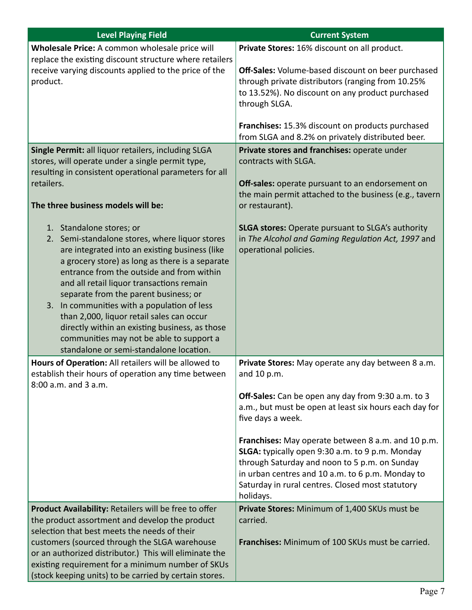| <b>Level Playing Field</b>                                                                                                                                                                                                                                                             | <b>Current System</b>                                                                                                                                                                                                                                                       |
|----------------------------------------------------------------------------------------------------------------------------------------------------------------------------------------------------------------------------------------------------------------------------------------|-----------------------------------------------------------------------------------------------------------------------------------------------------------------------------------------------------------------------------------------------------------------------------|
| Wholesale Price: A common wholesale price will<br>replace the existing discount structure where retailers                                                                                                                                                                              | Private Stores: 16% discount on all product.                                                                                                                                                                                                                                |
| receive varying discounts applied to the price of the<br>product.                                                                                                                                                                                                                      | <b>Off-Sales:</b> Volume-based discount on beer purchased<br>through private distributors (ranging from 10.25%<br>to 13.52%). No discount on any product purchased<br>through SLGA.                                                                                         |
|                                                                                                                                                                                                                                                                                        | Franchises: 15.3% discount on products purchased<br>from SLGA and 8.2% on privately distributed beer.                                                                                                                                                                       |
| Single Permit: all liquor retailers, including SLGA<br>stores, will operate under a single permit type,<br>resulting in consistent operational parameters for all                                                                                                                      | Private stores and franchises: operate under<br>contracts with SLGA.                                                                                                                                                                                                        |
| retailers.<br>The three business models will be:                                                                                                                                                                                                                                       | Off-sales: operate pursuant to an endorsement on<br>the main permit attached to the business (e.g., tavern<br>or restaurant).                                                                                                                                               |
| 1. Standalone stores; or                                                                                                                                                                                                                                                               | <b>SLGA stores:</b> Operate pursuant to SLGA's authority                                                                                                                                                                                                                    |
| 2. Semi-standalone stores, where liquor stores<br>are integrated into an existing business (like<br>a grocery store) as long as there is a separate<br>entrance from the outside and from within<br>and all retail liquor transactions remain<br>separate from the parent business; or | in The Alcohol and Gaming Regulation Act, 1997 and<br>operational policies.                                                                                                                                                                                                 |
| 3. In communities with a population of less<br>than 2,000, liquor retail sales can occur<br>directly within an existing business, as those<br>communities may not be able to support a<br>standalone or semi-standalone location.                                                      |                                                                                                                                                                                                                                                                             |
| Hours of Operation: All retailers will be allowed to<br>establish their hours of operation any time between<br>8:00 a.m. and 3 a.m.                                                                                                                                                    | Private Stores: May operate any day between 8 a.m.<br>and 10 p.m.                                                                                                                                                                                                           |
|                                                                                                                                                                                                                                                                                        | Off-Sales: Can be open any day from 9:30 a.m. to 3<br>a.m., but must be open at least six hours each day for<br>five days a week.                                                                                                                                           |
|                                                                                                                                                                                                                                                                                        | Franchises: May operate between 8 a.m. and 10 p.m.<br>SLGA: typically open 9:30 a.m. to 9 p.m. Monday<br>through Saturday and noon to 5 p.m. on Sunday<br>in urban centres and 10 a.m. to 6 p.m. Monday to<br>Saturday in rural centres. Closed most statutory<br>holidays. |
| Product Availability: Retailers will be free to offer<br>the product assortment and develop the product<br>selection that best meets the needs of their                                                                                                                                | Private Stores: Minimum of 1,400 SKUs must be<br>carried.                                                                                                                                                                                                                   |
| customers (sourced through the SLGA warehouse<br>or an authorized distributor.) This will eliminate the<br>existing requirement for a minimum number of SKUs<br>(stock keeping units) to be carried by certain stores.                                                                 | Franchises: Minimum of 100 SKUs must be carried.                                                                                                                                                                                                                            |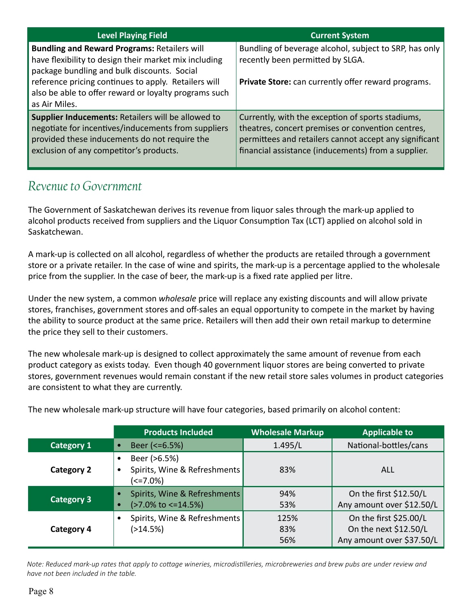| Level Playing Field                                                                                                                                                                                   | <b>Current System</b>                                                                                                                                                                                                   |
|-------------------------------------------------------------------------------------------------------------------------------------------------------------------------------------------------------|-------------------------------------------------------------------------------------------------------------------------------------------------------------------------------------------------------------------------|
| <b>Bundling and Reward Programs: Retailers will</b><br>have flexibility to design their market mix including<br>package bundling and bulk discounts. Social                                           | Bundling of beverage alcohol, subject to SRP, has only<br>recently been permitted by SLGA.                                                                                                                              |
| reference pricing continues to apply. Retailers will<br>also be able to offer reward or loyalty programs such<br>as Air Miles.                                                                        | Private Store: can currently offer reward programs.                                                                                                                                                                     |
| Supplier Inducements: Retailers will be allowed to<br>negotiate for incentives/inducements from suppliers<br>provided these inducements do not require the<br>exclusion of any competitor's products. | Currently, with the exception of sports stadiums,<br>theatres, concert premises or convention centres,<br>permittees and retailers cannot accept any significant<br>financial assistance (inducements) from a supplier. |

#### *Revenue to Government*

The Government of Saskatchewan derives its revenue from liquor sales through the mark-up applied to alcohol products received from suppliers and the Liquor Consumption Tax (LCT) applied on alcohol sold in Saskatchewan.

A mark-up is collected on all alcohol, regardless of whether the products are retailed through a government store or a private retailer. In the case of wine and spirits, the mark-up is a percentage applied to the wholesale price from the supplier. In the case of beer, the mark-up is a fixed rate applied per litre.

Under the new system, a common *wholesale* price will replace any existing discounts and will allow private stores, franchises, government stores and off-sales an equal opportunity to compete in the market by having the ability to source product at the same price. Retailers will then add their own retail markup to determine the price they sell to their customers.

The new wholesale mark-up is designed to collect approximately the same amount of revenue from each product category as exists today. Even though 40 government liquor stores are being converted to private stores, government revenues would remain constant if the new retail store sales volumes in product categories are consistent to what they are currently.

|                   | <b>Products Included</b>                                                        | <b>Wholesale Markup</b> | <b>Applicable to</b>                                                         |
|-------------------|---------------------------------------------------------------------------------|-------------------------|------------------------------------------------------------------------------|
| <b>Category 1</b> | Beer $\left( <=6.5\% \right)$<br>$\bullet$                                      | 1.495/L                 | National-bottles/cans                                                        |
| <b>Category 2</b> | Beer (>6.5%)<br>Spirits, Wine & Refreshments<br>٠<br>(<=7.0%)                   | 83%                     | ALL                                                                          |
| <b>Category 3</b> | Spirits, Wine & Refreshments<br>$\bullet$<br>$($ >7.0% to <=14.5%)<br>$\bullet$ | 94%<br>53%              | On the first \$12.50/L<br>Any amount over \$12.50/L                          |
| <b>Category 4</b> | Spirits, Wine & Refreshments<br>(>14.5%)                                        | 125%<br>83%<br>56%      | On the first \$25.00/L<br>On the next \$12.50/L<br>Any amount over \$37.50/L |

The new wholesale mark-up structure will have four categories, based primarily on alcohol content:

*Note: Reduced mark-up rates that apply to cottage wineries, microdistilleries, microbreweries and brew pubs are under review and have not been included in the table.*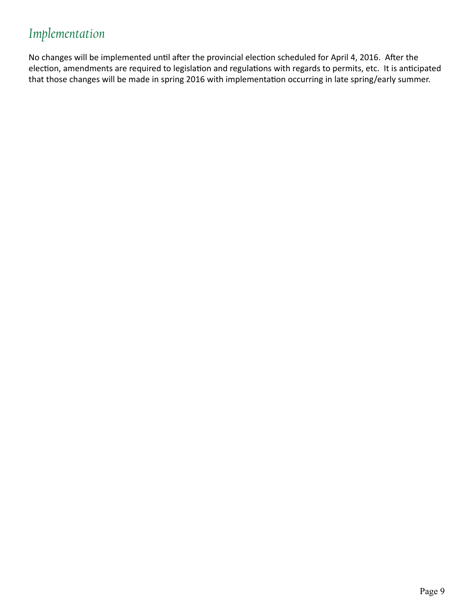### *Implementation*

No changes will be implemented until after the provincial election scheduled for April 4, 2016. After the election, amendments are required to legislation and regulations with regards to permits, etc. It is anticipated that those changes will be made in spring 2016 with implementation occurring in late spring/early summer.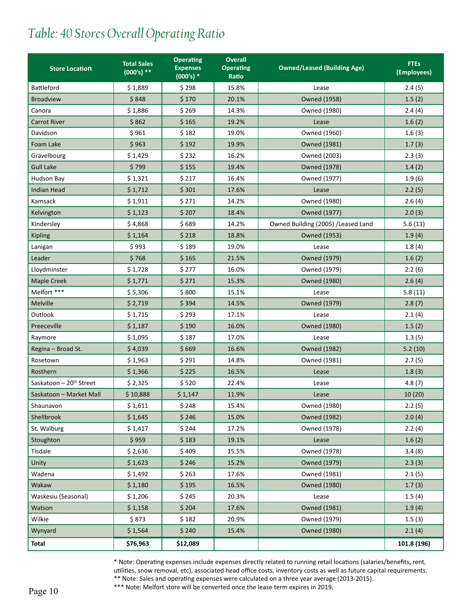### *Table: 40 Stores Overall Operating Ratio*

| <b>Store Location</b>               | <b>Total Sales</b><br>$(000's)$ ** | <b>Operating</b><br><b>Expenses</b><br>$(000's)*$ | <b>Overall</b><br><b>Operating</b><br>Ratio | <b>Owned/Leased (Building Age)</b>  | <b>FTEs</b><br>(Employees) |
|-------------------------------------|------------------------------------|---------------------------------------------------|---------------------------------------------|-------------------------------------|----------------------------|
| <b>Battleford</b>                   | \$1,889                            | \$298                                             | 15.8%                                       | Lease                               | 2.4(5)                     |
| <b>Broadview</b>                    | \$848                              | \$170                                             | 20.1%                                       | <b>Owned (1958)</b>                 | 1.5(2)                     |
| Canora                              | \$1,886                            | \$269                                             | 14.3%                                       | Owned (1980)                        | 2.4(4)                     |
| <b>Carrot River</b>                 | \$862                              | \$165                                             | 19.2%                                       | Lease                               | 1.6(2)                     |
| Davidson                            | \$961                              | \$182                                             | 19.0%                                       | Owned (1960)                        | 1.6(3)                     |
| Foam Lake                           | \$963                              | \$192                                             | 19.9%                                       | <b>Owned (1981)</b>                 | 1.7(3)                     |
| Gravelbourg                         | \$1,429                            | \$232                                             | 16.2%                                       | Owned (2003)                        | 2.3(3)                     |
| <b>Gull Lake</b>                    | \$799                              | \$155                                             | 19.4%                                       | <b>Owned (1978)</b>                 | 1.4(2)                     |
| Hudson Bay                          | \$1,321                            | \$217                                             | 16.4%                                       | Owned (1977)                        | 1.9(6)                     |
| <b>Indian Head</b>                  | \$1,712                            | \$301                                             | 17.6%                                       | Lease                               | 2.2(5)                     |
| Kamsack                             | \$1,911                            | \$271                                             | 14.2%                                       | Owned (1980)                        | 2.6(4)                     |
| Kelvington                          | \$1,123                            | \$207                                             | 18.4%                                       | Owned (1977)                        | 2.0(3)                     |
| Kindersley                          | \$4,868                            | \$689                                             | 14.2%                                       | Owned Building (2005) / Leased Land | 5.6(11)                    |
| <b>Kipling</b>                      | \$1,164                            | \$218                                             | 18.8%                                       | Owned (1953)                        | 1.9(4)                     |
| Lanigan                             | \$993                              | \$189                                             | 19.0%                                       | Lease                               | 1.8(4)                     |
| Leader                              | \$768                              | \$165                                             | 21.5%                                       | Owned (1979)                        | 1.6(2)                     |
| Lloydminster                        | \$1,728                            | \$277                                             | 16.0%                                       | Owned (1979)                        | 2.2(6)                     |
| <b>Maple Creek</b>                  | \$1,771                            | \$271                                             | 15.3%                                       | Owned (1980)                        | 2.6(4)                     |
| Melfort ***                         | \$5,306                            | \$800                                             | 15.1%                                       | Lease                               | 5.8(11)                    |
| Melville                            | \$2,719                            | \$394                                             | 14.5%                                       | Owned (1979)                        | 2.8(7)                     |
| Outlook                             | \$1,715                            | \$293                                             | 17.1%                                       | Lease                               | 2.1(4)                     |
| Preeceville                         | \$1,187                            | \$190                                             | 16.0%                                       | Owned (1980)                        | 1.5(2)                     |
| Raymore                             | \$1,095                            | \$187                                             | 17.0%                                       | Lease                               | 1.3(5)                     |
| Regina - Broad St.                  | \$4,039                            | \$669                                             | 16.6%                                       | Owned (1982)                        | 5.2(10)                    |
| Rosetown                            | \$1,963                            | \$291                                             | 14.8%                                       | Owned (1981)                        | 2.7(5)                     |
| Rosthern                            | \$1,366                            | \$225                                             | 16.5%                                       | Lease                               | 1.8(3)                     |
| Saskatoon - 20 <sup>th</sup> Street | \$2,325                            | \$520                                             | 22.4%                                       | Lease                               | 4.8(7)                     |
| Saskatoon - Market Mall             | \$10,888                           | \$1,147                                           | 11.9%                                       | Lease                               | 10(20)                     |
| Shaunavon                           | \$1,611                            | \$248                                             | 15.4%                                       | Owned (1980)                        | 2.2(5)                     |
| Shellbrook                          | \$1,645                            | \$246                                             | 15.0%                                       | <b>Owned (1982)</b>                 | 2.0(4)                     |
| St. Walburg                         | \$1,417                            | \$244                                             | 17.2%                                       | Owned (1978)                        | 2.2(4)                     |
| Stoughton                           | \$959                              | \$183                                             | 19.1%                                       | Lease                               | 1.6(2)                     |
| Tisdale                             | \$2,636                            | \$409                                             | 15.5%                                       | Owned (1978)                        | 3.4(8)                     |
| Unity                               | \$1,623                            | \$246                                             | 15.2%                                       | Owned (1979)                        | 2.3(3)                     |
| Wadena                              | \$1,492                            | \$263                                             | 17.6%                                       | Owned (1981)                        | 2.1(5)                     |
| Wakaw                               | \$1,180                            | \$195                                             | 16.5%                                       | Owned (1980)                        | 1.7(3)                     |
| Waskesiu (Seasonal)                 | \$1,206                            | \$245                                             | 20.3%                                       | Lease                               | 1.5(4)                     |
| Watson                              | \$1,158                            | \$204                                             | 17.6%                                       | <b>Owned (1981)</b>                 | 1.9(4)                     |
| Wilkie                              | \$873                              | \$182                                             | 20.9%                                       | Owned (1979)                        | 1.5(3)                     |
| Wynyard                             | \$1,564                            | \$240                                             | 15.4%                                       | <b>Owned (1980)</b>                 | 2.1(4)                     |
| <b>Total</b>                        | \$76,963                           | \$12,089                                          |                                             |                                     | 101.8 (196)                |

\* Note: Operating expenses include expenses directly related to running retail locations (salaries/benefits, rent, utilities, snow removal, etc), associated head office costs, inventory costs as well as future capital requirements.

\*\* Note: Sales and operating expenses were calculated on a three year average (2013-2015). \*\*\* Note: Melfort store will be converted once the lease term expires in 2019.